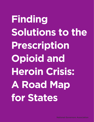**Finding Solutions to the Prescription Opioid and Heroin Crisis: A Road Map for States**

National Governors Association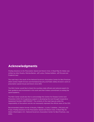### **Acknowledgments**

*Finding Solutions to the Prescription Opioid and Heroin Crisis: A Road Map for States* was written by Kelly Murphy, Melinda Becker, Jeff Locke, Chelsea Kelleher, Jeff McLeod and Frederick Isasi.

The road map is the result of the National Governors Association Center for Best Practices (NGA Center) Health Division and Homeland Security and Public Safety Division's work on prescription opioid misuse and heroin since 2012.

The NGA Center would like to thank the countless state officials and national experts for their guidance and involvement in this work and their tireless commitment to ending the opioid epidemic.

The NGA Center would also like to acknowledge the Centers for Disease Control and Prevention (CDC) for its generous support in developing this tool through Cooperative Agreement Number U38OT000227. The contents of the road map are solely the responsibility of the authors and do not necessarily represent the official views of the CDC.

Recommended citation format: K.Murphy, M.Becker, J.Locke, C.Kelleher, J.McLeod, and F.Isasi, *Finding Solutions to the Prescription Opioid and Heroin Crisis: A Road Map for States* (Washington, D.C.: National Governors Association Center for Best Practices, July 2016).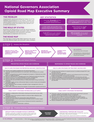### **National Governors Association Opioid Road Map Executive Summary**

Inappropriate opioid prescribing has fueled one of the deadliest drug epidemics in U.S. history. Though most opioid-related overdoses involve prescription opioids, an increasing number are linked to illicit opioids such as heroin and fentanyl.

#### **THE ROLE OF STATES**

Governors are taking action to end the opioid epidemic with a range of public health and public safety strategies across the continuum from prevention and early identification to treatment and recovery.

#### **THE ROAD MAP**

The road map is a tool to help states respond to the opioid crisis with effective health care and public safety strategies.

#### **THE PROBLEM KEY STATISTICS**

Every day, **78 people** die from<br>an overdose related to prescription opioids and heroin.

In 2012, health care providers wrote enough opioid prescriptions for every American adult to have a bottle of pills.

4 out of 5 heroin users reported misusing prescription opioids before moving to heroin.

Medicaid is the most common payer of opioid-related hospitalizations, the cost of which quadrupled between 2002 – 2012.

> Heroin seizures by U.S. law enforcement rose 81% between 2010 – 2014.

80% of people with an opioid<br>use disorder are not receiving<br>treatment.



Develop a work plan or identify an existing vehicle, such as an<br>existing statewide opioid plan, from which an actionable work<br>plan can be developed to achieve defined objectives. DEVELOP WORK PLAN BASED ON POLICY PRIORITIES

**IMPLEMENT POLICIES**

#### CONTINUOUSLY MONITOR AND EVALUATE

Implement rapid cycle performance monitoring, reporting and quality improvement strategies. Make programmatic adjustments based on evaluation.

IN THE APPENDIX: . State Examples . State Approaches to Establishing Opioid Prescription Limits . Medication Assisted Treatment Overview . Sample Key Data Sources • Abbreviated Resource List • More Information About Evaluation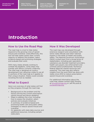[Strategies for](#page-16-0) **[Appendices](#page-28-0) [States](#page-16-0)** 

### <span id="page-4-0"></span>**Introduction**

### How to Use the Road Map

The road map is a tool to help states respond to the growing crisis of opioid misuse and overdose. Used effectively, this tool will help states assess their current capacity to address the problem, select evidence-based and promising strategies and evaluate their work.

With many states already working to combat the epidemic, some steps may overlap with efforts currently underway. The road map is designed as a policy development tool, allowing a state to use all or portions of the road map as it applies to their unique situation. States could consider revisiting the tool as needed.

### What to Expect

Here is an overview of what states will find as they progress through the road map:

- Background on the problem and the factors driving the current prescription opioid misuse and heroin epidemic
- Steps to address the crisis, including how to assess the situation, select policies and evaluate initiatives
- A summary of evidence-based and promising health care and public safety strategies to reduce opioid misuse and overdose
- An appendix with state data sources and additional resources, including sample state plans

### How it Was Developed

The road map was developed through extensive research and consultation with senior state officials and other national experts in the fields of health and public safety. The National Governors Association (NGA) invited input from a broad array of stakeholders, including pain specialists, substance use disorder treatment providers, health care payers, law enforcement and criminal justice professionals. Numerous federal agencies shared resources and expertise. The road map also reflects insights from the work NGA has done with states since 2012 to reduce prescription opioid misuse and overdose.

For additional information about the road map, please contact Kelly Murphy at [kmurphy@nga.org](mailto:kmurphy@nga.org) or Jeff McLeod at [jmcleod@nga.org.](mailto:jmcleod@nga.org.)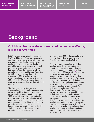[Strategies for](#page-16-0) **[Appendices](#page-28-0) [States](#page-16-0)** 

### **Background**

### Opioid use disorder and overdose are serious problems affecting millions of Americans.

In 2014, an estimated 1.9 million people in the United States suffered from substance use disorders related to prescription opioids and an estimated 586,000 people were addicted to heroin.<sup>1</sup> Overdose deaths have soared in recent years; between 2001 and 2014, there was a 200 percent increase in the rate of overdose deaths involving prescription opioids and heroin.<sup>2</sup> According to CDC, more Americans died of drug overdoses in 2014 than in any year on record. Opioids were involved in 61 percent (28,647) of the 47,055 drug overdose deaths that occurred that year in the United States. $\frac{3}{2}$ 

The rise in opioid use disorder and overdose has been fueled by inappropriate opioid prescribing. Sales of prescription opioid painkillers nearly quadrupled from 1999 to 2014, though the amount of pain reported by Americans remained relatively unchanged. $4$  This shift in opioid prescribing practices began in the 1990s with changing attitudes about pain management including the move to treat pain as the fifth vital sign—and the risks associated with prescription opioids. In 2012, health care

providers wrote 259 million prescriptions for opioid painkillers, enough for every American to have a bottle of pills. $\frac{5}{5}$ 

Along with the increase in prescription opioid misuse, the United States has recently seen a related surge in heroin. Heroin overdose death rates more than tripled between 2010 and 2014. $6$  Although surveys show that less than 4 percent of people who have misused prescription opioids start using heroin within five years, four out of five recent heroin initiates (79.5 percent) reported nonmedical use of prescription opioids.<sup>7</sup> With an increased supply of heroin and new methods for selling to a broader base of customers, illegal drug traffickers have become increasingly aggressive and sophisticated in their distribution methods. Adding to the problem, traffickers in some areas have begun supplementing heroin with illicit fentanyl, an inexpensive and powerful opioid that is up to 50 times more potent than heroin. The emergence of illicit fentanyl has led to a dramatic increase in overdose deaths in some states and poses unique challenges for health care and public safety professionals.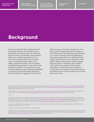[Strategies for](#page-16-0) **[Appendices](#page-28-0) [States](#page-16-0)** 

### **Background**

Having recognized the widespread and devastating nature of the opioid crisis, governors are taking action to stem the tide of opioid use disorder and overdose. States are uniquely positioned to do this work, because they play a central role in protecting public health and safety; regulating health care providers; establishing prescription drug monitoring programs (PDMPs); and paying for care through Medicaid, state employee benefits, corrections and other health programs. Current evidence suggests that the most

effective way to end the opioid crisis is to take a public health approach focused on preventing and treating opioid use disorder as a chronic disease while strengthening law enforcement efforts to address illegal supply chain activity. This road map uses a public health intervention model to guide state activities in targeting the problem with health care and law enforcement strategies. A monitoring and evaluation component is included to help states assess the effectiveness of those efforts and inform future activities.

1 Sarra L. Hedden et al., Behavioral Health Trends in the United States: Results from the 2014 National Survey on Drug Use and Health (Rockville MD: Substance Abuse and Mental Health Services Administration, 2015), [http://www.samhsa.gov/data/sites/default/files/NSDUH-FRR1-2014/](http://www.samhsa.gov/data/sites/default/files/NSDUH-FRR1-2014/NSDUH-FRR1-2014.pdf) [NSDUH-FRR1-2014.pdf](http://www.samhsa.gov/data/sites/default/files/NSDUH-FRR1-2014/NSDUH-FRR1-2014.pdf) (accessed June 13, 2016).

2 Rose Rudd et al., "Increases in Drug and Opioid Overdose Deaths—United States, 2000–2014," Morbidity and Mortality Weekly Report 64 no. 50 (January 1, 2016): 1378–1382, <http://www.cdc.gov/mmwr/preview/mmwrhtml/mm6450a3.htm> (accessed June 13, 2016).

#### 3 Ibid.

4 Leonard J. Paulozzi et al., "Vital Signs: Overdoses of Prescription Opioid Pain Relievers—United States, 1999–2008," Morbidity and Mortality Weekly Report 60 no. 43 (November 1, 2011): 1487–1492,<http://www.cdc.gov/mmwr/preview/mmwrhtml/mm6043a4.htm> (accessed June 13, 2016); and H.Y. Chang et al., "Prevalence and Treatment of Pain in Emergency Departments in the United States, 2000–2010," American Journal of Emergency Medicine 32 no. 5 (May 2014): 421–423,<http://www.ncbi.nlm.nih.gov/pubmed/24560834> (accessed June 13, 2016).

5 Centers for Disease Control and Prevention, "Vital Signs: Opioid Painkiller Prescribing: Where You Live Makes a Difference," Morbidity and Mortality Weekly Report (July 1, 2014).

6 R. Rudd, "Increases in Drug and Opioid Overdose Deaths."

7 Pradip K. Muhuri, Joseph C. Gfroerer, and M. Christine Davies, "Associations of Nonmedical Pain Reliever Use and Initiation of Heroin Use in the United States," Center for Behavioral Health Statistics and Quality Data Review (August 2013), [http://www.samhsa.gov/data/sites/default/files/](http://www.samhsa.gov/data/sites/default/files/DR006/DR006/nonmedical-pain-reliever-use-2013.htm) [DR006/DR006/nonmedical-pain-reliever-use-2013.htm](http://www.samhsa.gov/data/sites/default/files/DR006/DR006/nonmedical-pain-reliever-use-2013.htm) (accessed June 13, 2016).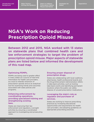[Strategies for](#page-16-0) **[Appendices](#page-28-0) [States](#page-16-0)** 

### **NGA's Work on Reducing Prescription Opioid Misuse**

Between 2012 and 2015, NGA worked with 13 states on statewide plans that combined health care and law enforcement strategies to target the problem of prescription opioid misuse. Major aspects of statewide plans are listed below and informed the development of this road map.

#### Optimizing PDMPs.

PDMPs are being used to greater effect in many states as a source of real-time information for health care providers, as a tool to interdict diversion of prescription opioids and as an analytical tool for examining trends and outcomes associated with state policies and programs.

#### Enhancing enforcement by coordinating operations, providing specialized training and strengthening existing laws.

States are improving their law enforcement and regulatory oversight activities by ensuring a coordinated approach to investigating and prosecuting cases.

#### Ensuring proper disposal of prescription drugs.

States are collaborating with local coalitions, pharmacies, health professional boards and the Drug Enforcement Administration (DEA) in take-back activities, such as hosting take-back events and identifying permanent locations where the public can safely dispose of unused prescription medications.

#### Leveraging the state's role as regulator and purchaser of services.

States are working to improve prescribing practices by increasing educational opportunities and requirements for health care providers, and adopting guidelines on appropriate prescribing practices.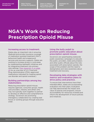[Strategies for](#page-16-0) **[Appendices](#page-28-0) [States](#page-16-0)** 

## **NGA's Work on Reducing Prescription Opioid Misuse**

#### Increasing access to treatment.

States play an important role in ensuring Medicaid and private insurance coverage of medication-assisted treatment (MAT), behavioral health and wraparound services and recovery supports. States are working to increase access in rural areas by implementing telehealth initiatives and by integrating treatment into primary care settings. ([See Appendix A on page](#page-28-0)  [2](#page-28-0)9 for an overview of U.S. Food and Drug Administration (FDA)–approved medications indicated for treating opioid use disorder and opioid overdose.)

#### Building partnerships among key stakeholders.

Reducing prescription opioid misuse requires agencies, consumer groups, health care providers, industry and others who may not typically work together to partner to develop an effective and comprehensive strategy. Governors are promoting interagency collaboration by creating task forces or working groups through executive order.

#### Using the bully pulpit to promote public education about prescription opioid misuse.

Governors are spearheading statewide public awareness campaigns to educate the public, providers, state policymakers and other public officials about the risks associated with prescription opioids, the scope of the problem and the need to destigmatize and raise awareness about treatment and recovery.

#### Developing data strategies with metrics and evaluation plans to drive policy and practice.

To ensure that interventions have their intended effect, states are incorporating evaluation into their plans. Evaluation can help demonstrate the impact and value of policies and programs, ensure accountability for resources invested and inform the development of future policies and initiatives.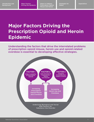[Strategies for](#page-16-0) **[Appendices](#page-28-0) [States](#page-16-0)** 

## <span id="page-10-0"></span>**Major Factors Driving the Prescription Opioid and Heroin Epidemic**

Understanding the factors that drive the interrelated problems of prescription opioid misuse, heroin use and opioid-related overdose is essential to developing effective strategies.

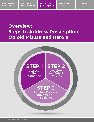[Strategies for](#page-16-0) **[Appendices](#page-28-0) [States](#page-16-0)** 

### <span id="page-12-0"></span>**Overview: Steps to Address Prescription Opioid Misuse and Heroin**

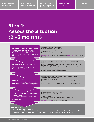[Strategies for](#page-16-0) **[Appendices](#page-28-0) [States](#page-16-0)** 

### **Step 1: Assess the Situation (2 –3 months)**



#### **KEY OUTPUTS:**

 **1. OVERARCHING VISION AND GOALS**

- Informed by data and environmental scan Shaped by key decision makers and priority stakeholders Owned by the Opioid Team
- **2. COMPREHENSIVE UNDERSTANDING OF THE STATE LEVERS TO REDUCE OPIOID MISUSE AND OVERDOSE**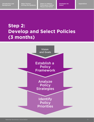[Strategies for](#page-16-0) **[Appendices](#page-28-0) [States](#page-16-0)** 

## **Step 2: Develop and Select Policies (3 months)**

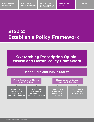[Strategies for](#page-16-0) **[Appendices](#page-28-0) [States](#page-16-0)** 

### **Step 2: Establish a Policy Framework**

### **Overarching Prescription Opioid Misuse and Heroin Policy Framework**

### Health Care and Public Safety

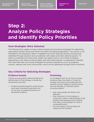Strategies for **[Appendices](#page-28-0) States** 

### <span id="page-16-0"></span>**Step 2: Analyze Policy Strategies and Identify Policy Priorities**

#### **How Strategies Were Selected**

The following four pages include evidence-based and promising strategies for addressing prescription opioid misuse and heroin use within the general population. This section is not intended to be exhaustive; rather it highlights the most impactful policies and practices identified through research and consultation with states and other national experts. To build a comprehensive action plan, states may adopt some or all of these strategies, depending on the nature of the problem and other state-specific considerations. Notably, this road map does not include strategies for specific populations, such as pregnant women, veterans and rural communities, which will be addressed through future initiatives.

### **Key Criteria for Selecting Strategies**

### **Evidence-based.**

Is there strong evidence demonstrating the effectiveness of the strategy in achieving the desired outcome?

• Evidence-based programs and practices have been evaluated empirically and do not rely on traditional practice or anecdotal evidence.

#### **Promising.**

For strategies that do not have a strong evidence base, how likely is it that the strategy will reduce the magnitude and severity of harm related to opioid misuse and use disorder or decrease opioid overdose deaths?

- How many people are likely to be affected?
- How important is the strategy to furthering a state's understanding of the problem and targeting future efforts?
- How likely is the strategy to result in unintended harm?
- Can the impact of the strategy be measured and tracked?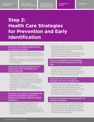[Strategies for](#page-16-0) **[Appendices](#page-28-0) [States](#page-16-0)** 

## **Step 2: Health Care Strategies for Prevention and Early Identification**

#### Develop and update guidelines for all opioid prescribers.

- Work with state health professional licensing boards to develop or update opioid prescribing guidelines with recommended dosing and day limits.
- Consider adopting or using CDC's Guideline for Prescribing Opioids for Chronic Pain to inform state guidelines.

#### Limit new opioid prescriptions for acute pain, with exceptions for certain patients.

- Partner with health care providers to establish dosage and day limits for new opioid prescriptions for acute pain, with exceptions for certain patients and flexibility for prescribers to use their clinical judgement in determining when higher doses or longer prescriptions are appropriate.
- Limits may be established in statute, regulations or guidelines ([see Appendix E on](#page-32-0)  [page 33](#page-32-0)).

#### Develop and adopt a comprehensive opioid management program in Medicaid and other state-run health programs.

• Programs may require a treatment plan between doctors and patients, a risk assessment signed by the patient, prior authorization for high-dose prescriptions or those exceeding a certain number of days and the use of a single prescriber and pharmacy for all opioid prescriptions.

- Encourage or require commercial plans to implement similar programs (e.g., Blue Cross Blue Shield Massachusetts' Prescription Pain Medication Safety Program).
- Authorize public payers, including Medicaid and Medicare, and commercial plans to review PDMP data applicable to their enrollees.

#### Remove methadone for managing pain from Medicaid preferred drug lists.

• If methadone remains a preferred drug for managing pain, consider the use of step therapy, quantity limits and clinical criteria at the point of sale to limit its use to patients for whom the benefits outweigh the risks.

#### Expand access to non-opioid therapies for pain management.

- In Medicaid and other state-run health programs, provide and consider increasing reimbursement for comprehensive pain management services that include non-opioid therapies for acute and chronic pain.
- Encourage or require commercial plans to implement similar reimbursement policies.

#### Enhance education and training for all opioid prescribers.

• Work with institutions that educate and train opioid prescribers (e.g., medical schools and residency programs) to develop curricula on pain management, safe opioid prescribing and substance use disorder that incorporates opioid prescribing guidelines.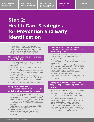[Strategies for](#page-16-0) **[Appendices](#page-28-0) [States](#page-16-0)** 

## **Step 2: Health Care Strategies for Prevention and Early Identification**

• As a condition of licensure, require all opioid prescribers to complete high-quality continuing medical education courses in pain management, safe opioid prescribing that incorporates opioid prescribing guidelines.

#### Maximize the use and effectiveness of state PDMPs.

- Require providers to check the PDMP before prescribing Schedule II, III and IV controlled substances.
- Require pharmacists to report to the PDMP within 24 hours.
- Use PDMP data to provide proactive analyses and reporting to professional licensing boards and law enforcement.
- Make PDMPs easier to use by integrating PDMP data into electronic health records and health information systems and by allowing prescribers to establish delegate accounts.
- Ensure PDMP interoperability with other states.

#### Use public health and law enforcement data to monitor trends and strengthen prevention efforts.

- Ensure access to key data sources (e.g., deidentified PDMP data and toxicology and drug seizure reports) to identify geographical hot spots and alert law enforcement, public health entities, community coalitions, substance abuse prevention and treatment agencies and the public.
- Authorize medical examiners to obtain PDMP data for death investigations.
- Establish multidisciplinary overdose fatality review teams to conduct confidential case reviews and inform state and local overdose prevention.

#### Enact legislation that increases oversight of pain management clinics to reduce "pill mills."

- Define what constitutes a pain management clinic based on the volume and types of services provided.
- Require pain management clinics to register with the state or obtain a license or certificate from the state.
- Give the state health agency or licensing board authority to inspect pain management clinics and mandate unannounced inspections when receiving complaints of violations.
- Require pain management clinic owners and medical directors to meet training requirements and prohibit non-law-abiding or restricted licensees from becoming owners or employees.

#### Raise public awareness about the dangers of prescription opioids and heroin.

- Use the bully pulpit to raise awareness about the risks associated with opioid use.
- Identify opportunities to require targeted education, such as middle and high-school health classes and annual safety trainings for student athletes and their parents.
- Work with community coalitions to provide evidence-based prevention programming to youth and other high-risk groups (e.g., Strengthening Families Program, PROPSER).
- Help publicize law enforcement-sponsored and pharmacy take-back programs as well as other opportunities for safe drug disposal.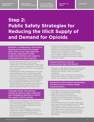[Strategies for](#page-16-0) **[Appendices](#page-28-0) [States](#page-16-0)** 

## **Step 2: Public Safety Strategies for Reducing the Illicit Supply of and Demand for Opioids**

Establish a collaborative information sharing environment that breaks down silos across state agencies to better understand trends, target interventions and support a comprehensive state response.

- Increase law enforcement, human services, forensic labs and public health expert collaboration and understanding of state drug data trends, patterns, implications and threats (e.g., drug monitoring initiatives, [see Appendix](#page-33-0)  [F on page 3](#page-33-0)4).
- Embed public health professionals with state drug intelligence units, automate drug data collection processes for real-time alerts and share data on law enforcement and emergency services administration of naloxone to identify and map potential spikes in drug overdoses.
- Use de-identified PDMP data to pin-point communities with elevated levels of high-risk opioid and benzodiazepine prescribing as areas at potential high risk for heroin use.

#### Leverage assets from partner entities to improve data collection and intelligence sharing to restrict the supply of illicit opioids.

- Where possible, designate High Intensity Drug Trafficking Areas (HIDTAs) as the central source for state drug intelligence and enter state opioid investigative activities into the HIDTA Case Explorer.
- Utilize the El Paso Intelligence Center as a national-level opioid intelligence repository for state law enforcement and non law enforcement partners, with HIDTAs providing and accessing data.
- Request criminal analyst and intelligence support from the National Guard Counterdrug Program for state law enforcement efforts.
- Harness the existing fusion center infrastructure to effectively communicate heroin supply intelligence within the state.
- Ensure that law enforcement data is shared with public health.

#### Expand statutory tools for prosecuting major distributors.

- Establish or align legal definitions and criminal penalties for distribution of heroin and illicit fentanyl that results in fatal or nonfatal overdoses.
- Ensure state drug trafficking and conspiracy statutes are in place to target drug trafficking as part of an ongoing criminal enterprise.

#### Expand law enforcement partnerships and data access to better target overprescribers.

- Investigate and prosecute opioid supply chain abuse, including high-risk providers, distributors and manufacturers.
- Work with medical and other health professional licensing boards to improve collaboration on investigations of high-risk providers.
- While maintaining privacy rights, grant safe and proper law enforcement access to PDMP data without a search warrant for open investigations involving bad acting prescribers and dealers within the prescription opioid trade. Ensure law enforcement investigators are tracked, trained and certified to access PDMP data.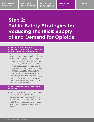[Strategies for](#page-16-0) **[Appendices](#page-28-0) [States](#page-16-0)** 

## **Step 2: Public Safety Strategies for Reducing the Illicit Supply of and Demand for Opioids**

#### In narcotics investigations, implement best practices and ensure intergovernmental cooperation.

- Reduce heroin and illicit fentanyl supply through law enforcement interdiction efforts by local, state and federal law enforcement partners, such as targeting major distribution networks and actors (e.g., Mexican cartels).
- Implement state and local law enforcement best practices for narcotics investigations, such as collecting cell phones and pocket trash, interviewing family members and improving coordination with patients before discharge.
- Ensure cooperation and collaboration on heroin and illicit fentanyl intelligence and investigations from state and local law enforcement with correctional facilities, DEA Drug Task Forces, FBI field offices, fusion centers, regional HIDTAs and the National Guard Counterdrug Program.

#### Establish and enhance stakeholder coalitions.

- Bring together public health, law enforcement and community leaders to create a comprehensive public messaging strategy that addresses the opioid epidemic and risk factors within the community (e.g., DEA's 360 Strategy).
- Establish, support and coordinate drug takeback days with stakeholder and community groups.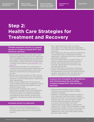[Strategies for](#page-16-0) **[Appendices](#page-28-0) [States](#page-16-0)** 

### **Step 2: Health Care Strategies for Treatment and Recovery**

#### Change payment policies to expand access to evidence-based MAT and recovery services.

- Ensure that Medicaid and other state health programs adequately cover all FDA-approved MAT (methadone, buprenorphine, naltrexone) and evidence-based behavioral interventions. Encourage or require commercial health plans to adopt similar policies ([see Appendix A on](#page-28-0)  [page 2](#page-28-0)9).
- Provide reimbursement for components of comprehensive evidence-based treatment and recovery, including medication, office visits, behavioral interventions and wrap-around services.
- Review and remove barriers to MAT, such as fail first and inappropriate prior authorization protocols, and encourage generic substitution when appropriate.
- Work with the department of insurance to enforce federal parity laws designed to ensure equal access to behavioral health care and medical/surgical care.
- Use payment strategies (e.g., pay for performance, quality metrics and separating behavioral health from payment bundles) to increase access to evidence-based MAT and behavioral interventions and promote integration of behavioral health and primary care.

#### Increase access to naloxone.

• Review and remove Medicaid barriers to naloxone, such as prior authorization, and consider placing naloxone on the preferred drug list.

- Pass "Good Samaritan" laws to protect prescribers, first responders and bystanders from liability when prescribing or administering naloxone.
- Enact legislation allowing naloxone dispensing via standing orders, collaborative practice agreements, statewide protocols or pharmacist prescriptive authority.
- Train first responders to recognize signs of opioid overdose and administer naloxone.
- Partner with professional associations to promote coprescribing of naloxone when clinically appropriate.
- Permit third party prescribing of naloxone.
- Create a centralized naloxone procurement and distribution process at the state level and consider negotiating with manufacturers to obtain a competitive pricing agreement.

#### Expand and strengthen the workforce and infrastructure for providing evidence-based MAT and recovery services.

- Require buprenorphine waiver training in primary care and other select medical residency programs.
- Establish a coordinated treatment system in which specialty treatment centers stabilize patients and refer to community providers for ongoing care (e.g., hub and spoke model).
- Provide ongoing education and support to primary care providers and other buprenorphine prescribers to expand MAT capacity (e.g., Project ECHO telehealth model).
- Increase the number of office- and communitybased opioid treatment programs through collaboration with community health centers and new state funding.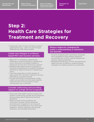[Strategies for](#page-16-0) **[Appendices](#page-28-0) [States](#page-16-0)** 

### **Step 2: Health Care Strategies for Treatment and Recovery**

• Expand the reach of peer and family support organizations (e.g., Learn to Cope) through Medicaid and other state funding.

#### Create new linkages to evidencebased MAT and recovery services.

- Begin MAT in emergency departments following an opioid overdose or related drug event, and ensure immediate linkages to behavioral services and community supports.
- Establish peer-based recovery programs in emergency departments to support individuals following an opioid overdose or related drug event.
- Train first responders to refer patients to high-quality MAT and harm reduction services following an overdose reversal.
- Provide information and assistance to help health care providers and the public identify treatment and recovery options in their communities (e.g., a call line).

#### Consider authorizing and providing support to syringe service programs.

- Work with state health experts to assess the benefit of authorizing syringe service programs and providing state funding and technical assistance.
- Where syringe service programs are authorized, consider linking individuals accessing such programs to services such as human immunodeficiency virus (HIV) and hepatitis C testing, substance use disorder treatment, and overdose prevention.

#### Reduce stigma by changing the public's understanding of substance use disorder.

- Develop targeted public awareness campaigns with messaging to help reframe substance use disorder as a chronic medical disease that requires ongoing treatment.
- Messaging should focus on MAT and behavioral health services as effective, evidence-based strategies for treating substance use disorder.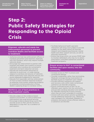## **Step 2: Public Safety Strategies for Responding to the Opioid Crisis**

#### Empower, educate and equip law enforcement personnel to prevent overdose deaths and facilitate access to treatment.

- Authorize and train law enforcement officers in overdose prevention and response, especially with illicit fentanyl, which may require multiple naloxone doses.
- Encourage law enforcement to partner with hospitals and health care systems to ensure individuals who overdose are connected to treatment and harm-reduction services.
- Educate law enforcement personnel on naloxone to avoid over- or under-dosing, relapse to overdose and seizures of naloxone.
- Where authorized, track naloxone rescues and ensure adequate budgeting for naloxone.
- Educate first responders and law enforcement on how to treat overdose response locations as potential crime scenes, preserving evidence for potential criminal prosecution of drug dealers supplying drugs to overdose victims.

#### Reinforce use of best practices in drug treatment courts.

- Educate judges on the evidence-based research around MAT, as well as behavioral interventions and wrap-around services.
- Encourage evidence-based drug courts that provide access to MAT and do not force defendants to stop MAT as a condition of participation.
- Facilitate behavioral health specialist interaction with drug court judges to provide updates on the latest opioid use disorder research and integrate psychosocial, mental health and other support services, as well as drug test monitoring.
- Ensure that drug courts can access PDMP data to monitor defendants who may try to obtain prescription controlled substances outside of treatment programs.

#### Ensure access to MAT in correctional facilities and upon reentry into the community.

- Increase access to MAT in prisons and correctional settings.
- Consider suspending, rather than terminating, Medicaid coverage during incarceration to facilitate access to treatment upon release.
- Provide sufficient substance use support and recovery units within state correctional substance use disorder programs.
- Ensure continued access to MAT for exoffenders upon reentry into the community, and provide overdose education and naloxone for offenders during the re-entry process, when they are most vulnerable to overdose.
- Amend swift and certain sanction guidelines to include additional responses (e.g., deploying case managers) for individuals released on probation and parole whose offenses relate to a substance use disorder.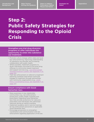[Strategies for](#page-16-0) **[Appendices](#page-28-0) [States](#page-16-0)** 

### **Step 2: Public Safety Strategies for Responding to the Opioid Crisis**

#### Strengthen pre-trial drug diversion programs to offer individuals the opportunity to enter into substance use treatment.

- Promote culture change within state and local law enforcement by improving understanding of substance use disorder and increasing collaboration with public health.
- Where possible, implement programs to divert individuals convicted of low-level drug offenses to community-based treatment and support services (e.g., Law Enforcement [Assisted Diversion \(LEAD\), see Appendix F on](#page-33-0)  [page 3](#page-33-0)4).
- Train law enforcement on referral to treatment following overdose intervention and build linkages to treatment through partnerships with community organizations (e.g., [LEAD](#page-33-0)  [Policy Coordinating Group, see Appendix F on](#page-33-0)  [page 3](#page-33-0)4).

#### Ensure compliance with Good Samaritan laws.

- Raise awareness in key stakeholder communities (e.g., law enforcement, prosecutors, public health, hospitals and prescribers) regarding Good Samaritan laws that provide protections for naloxone prescribers and individuals who administer naloxone during an opioid overdose.
- Implement academy and in-service trainings for law enforcement personnel on applicable Good Samaritan laws.
- Encourage prosecutors to strengthen coordination and communication with law enforcement regarding application of the law.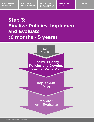[Strategies for](#page-16-0) **[Appendices](#page-28-0) [States](#page-16-0)** 

## **Step 3: Finalize Policies, Implement and Evaluate (6 months - 5 years)**

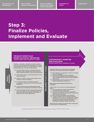[Strategies for](#page-16-0) **[Appendices](#page-28-0) [States](#page-16-0)** 

### **Step 3: Finalize Policies, Implement and Evaluate**

#### **DEVELOP WORK PLAN BASED ON POLICY PRIORITIES (Owners: Opioid Team; Timeframe: 3 months)**

Develop a work plan or identify an existing vehicle, such as an existing statewide opioid plan, from which an actionable work plan can be developed to achieve defined objectives. The plan should include:

- Specific evidence-based or promising health care and public safety strategies that will be pursued to achieve desired outcomes in the short and long term.
- Agreed-upon metrics for assessing the effect of the selected strategies.
- Solutions to address critical resource gaps, such as workforce, data and evaluation.
- An ongoing process for maintaining internal cross-agency collaboration and external stakeholder engagement.
- A communications plan with deliverables, target audiences, key messaging and measurable outcomes.
- Clear action steps that drive toward stated objectives (e.g., send a letter from the state health agency to opioid prescribers encouraging co-prescribing of naloxone when clinically appropriate).

#### **CONTINUOUSLY MONITOR AND EVALUATE\***

**(Owners: Opioid Team; Timeframe: 1-5 years)**

Implement rapid cycle performance monitoring, reporting, and quality improvement strategies.

- Meet regularly (e.g., quarterly) to report on activities and ensure alignment.
- Connect monitoring, reporting, and quality improvement strategies to the existing framework, such as dashboards, assessments or other reporting requirements.
- Assess progress toward goals and monitor for potential unintended consequences.

Make programmatic adjustments based on evaluation.

Create a clear set of criteria for program adjustment, such as:

- Are proxy measures, objectives, quality and accountability metrics being met?
- Are there emerging best practices, unintended consequences or areas of concern that should inform objectives and work plans?
- Is the workload manageable and sustainable? Consider the PDSA cycle for testing a change by developing a plan to test the change (plan), carrying out the test (do), observing and learning from the

consequences (study) and determining what

 modifications should be made to the test (act). Monitoring and evaluation should take place continuously over the course of implementation.

\*[See Appendix F on page 35](#page-34-0) for a plan example with metrics and [Appendix G on page 38](#page-37-0) for additional evaluation strategies.

**IMPLEMENT PLAN (1-5 YEARS)**

Σ

PLEMENT PLAN (1-5 YEARS)

**Priorities**

**Policy**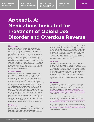[Strategies for](#page-16-0) **Appendices [States](#page-16-0)** 

# <span id="page-28-0"></span>**Appendix A: Medications Indicated for Treatment of Opioid Use Disorder and Overdose Reversal**

#### Methadone

Methadone is a slow-acting opioid agonist that acts as an opioid replacement for individuals in treatment for opioid use disorder. The drug prevents opioid withdrawal symptoms and blocks the effects of heroin and other opioids if given at higher doses. It is administered to patients once a day in pill, liquid and wafer forms. Methadone can be dispensed only at Substance Abuse and Mental Health Services Administration (SAMHSA)-certified outpatient opioid treatment programs (OTPs) or to a hospitalized patient in an emergency. Methadone has also been used as a treatment for chronic pain, though its use is limited because of serious risk of dependence and overdose.

#### Buprenorphine

Buprenorphine is a partial agonist that suppresses opioid withdrawal symptoms for individuals in treatment for opioid use disorder. Although buprenorphine can produce opioid agonist effects, such as euphoria and respiratory depression, its effects are milder than full agonists like methadone. To prescribe this medication, physicians must complete a training course and receive a waiver granted by DEA, known as a DATA 2000 waiver. Unlike methadone, which can only be dispensed by an OTP, buprenorphine can be prescribed in an outpatient setting. It is most commonly taken via a pill or sublingual film. Buprenorphine is combined with naloxone to create Suboxone and its generic formulations, which make the drug more difficult to misuse. If injected or otherwise misused, the naloxone in Suboxone will cause the patient to enter opioid withdrawal. The first buprenorphine implant, Probuphine, received FDA approval in May 2016.

#### Naltrexone

Naltrexone is a nonaddictive opioid antagonist used to treat opioid use disorder. Unlike methadone and buprenorphine, naltrexone is not an opioid replacement; the drug works by blocking the opioid

receptors so they cannot be activated. If an individual who has taken naltrexone attempts to continue taking opioids, he or she will be unable to feel their effect. Naltrexone is administered in an injectable, long-acting formulation marketed under the brand name Vivitrol and administered once a month. Because naltrexone will not prevent withdrawal symptoms, it is recommended for patients who do not have opioids in their system.

#### Naloxone

Naloxone is an opioid antagonist used to reverse opioid overdose. Naloxone has intravenous, intramuscular and intranasal formulations, with the latter two formulations considered safe for administration by laypersons. Naloxone works within minutes, and its effect persists up to an hour. Multiple doses may be required depending on the severity of respiratory depression. Naloxone, marketed under the brand name Narcan, does not produce tolerance or dependence and is not designated as a controlled substance.

#### References:

Office of National Drug Control Policy, "Medication-Assisted Treatment for Opioid Addiction," Healthcare Brief (Washington, DC: Office of National Drug Control Policy, 2012), [https://www.](https://www.whitehouse.gov/sites/default/files/ondcp/recovery/medication_assisted_treatment_9-21-20121.pdf) [whitehouse.gov/sites/default/files/ondcp/recov](https://www.whitehouse.gov/sites/default/files/ondcp/recovery/medication_assisted_treatment_9-21-20121.pdf)[ery/medication\\_assisted\\_treatment\\_9-21-20121.pdf](https://www.whitehouse.gov/sites/default/files/ondcp/recovery/medication_assisted_treatment_9-21-20121.pdf) (accessed June 14, 2016).

Substance Abuse and Mental Health Services Administration, "Medication and Counseling Treatment," [http://www.samhsa.gov/medication-assist](http://www.samhsa.gov/medication-assisted-treatment/treatment)[ed-treatment/treatment](http://www.samhsa.gov/medication-assisted-treatment/treatment) (accessed June 14, 2016).

Substance Abuse and Mental Health Services Administration, "Naloxone," [http://www.samhsa.gov/](http://www.samhsa.gov/medication-assisted-treatment/treatment/naloxone) [medication-assisted-treatment/treatment/naloxone](http://www.samhsa.gov/medication-assisted-treatment/treatment/naloxone)  (accessed June 14, 2016).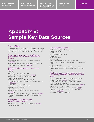[Strategies for](#page-16-0) **[Appendices](#page-28-0) [States](#page-16-0)** 

# <span id="page-29-0"></span>**Appendix B: Sample Key Data Sources**

#### Types of Data

The following is a sample of key data sources states may consider reviewing to determine priorities for addressing prescription opioid misuse and heroin.

#### Two macro-level surveys identifying prescription opioid misuse and heroin trends:

- •The National Survey on Drug Use and Health [\(NSDUH\)](https://nsduhweb.rti.org/respweb/homepage.cfm)
- •The National Epidemiological Survey on Alcohol and Related Conditions ([NESARC\)](http://pubs.niaaa.nih.gov/publications/arh29-2/74-78.htm)

#### NGA's identified sources ([mentioned](http://www.nga.org/cms/home/nga-center-for-best-practices/center-publications/page-health-publications/col2-content/main-content-list/reducing-prescription-drug-abuse.html)  [here](http://www.nga.org/cms/home/nga-center-for-best-practices/center-publications/page-health-publications/col2-content/main-content-list/reducing-prescription-drug-abuse.html)):

- •PDMPs
- •Morbidity and mortality data
- •National Vital Statistics System ([NVSS\)](http://www.cdc.gov/nchs/nvss/)
- •State coroner/medical examiner data
- •Birth certificate data
- •Patient, provider and public surveys
- •National Health and Nutrition Examination Survey [\(NHANES](http://www.cdc.gov/nchs/nhanes/))
- •Patient qualitative surveys
- •Medicaid and other claims data
- •Insurance provider data
- •Behavioral health data
- •Behavioral Risk Factor Surveillance System [\(BRFSS\)](http://www.cdc.gov/brfss/)
- •Youth Risk Behavior Surveillance System [\(YRBSS\)](http://www.cdc.gov/healthyyouth/data/yrbs/index.htm)
- •Harm reduction community/syringe exchange data

#### Emergency department and hospitalization data

- •Healthcare cost and utilization project ([HCUP](http://hcupnet.ahrq.gov/))
- •State EMS data

#### Law enforcement data

- •National Drug Threat Assessment
- •State forensic labs
- •HIDTAs
- •Drug seizures/lab results
- •Shootings
- •Gun recoveries
- •Drug arrests
- •Law enforcement naloxone deployments
- •Emergency medical services naloxone deployment data
- •Urinalysis results
- •Automated Fingerprint Identification System
- •State-administered Criminal Justice Information System

#### Additional sources and measures used in studies of prescription opioid misuse and heroin:

- •DEA Automation of Reports and Consolidated Orders System ([ARCOS](http://www.deadiversion.usdoj.gov/arcos/)) [proprietary]
- •Addiction Severity Index-Multimedia Version #1 [\(ASI-MV1](http://www.hazelden.org/web/public/asimv_main.page)) [proprietary]
- •Prescription Behavior Surveillance System ([PBSS\)](http://www.pdmpexcellence.org/content/prescription-behavior-surveillance-system-0)
- •Poison control center data
- •SAMHSA Treatment Episode Data Set ([TEDS](http://wwwdasis.samhsa.gov/webt/newmapv1.htm))
- •SAMHSA National Survey of Substance Abuse Services [\(N-SSATS](http://wwwdasis.samhsa.gov/dasis2/nssats.htm))
- •IMS health data [proprietary]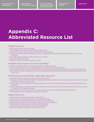[Strategies for](#page-16-0) **[Appendices](#page-28-0) [States](#page-16-0)** 

# <span id="page-30-0"></span>**Appendix C: Abbreviated Resource List**

#### Federal Resources

- [2015 National Drug Control Strategy](https://www.whitehouse.gov//sites/default/files/ondcp/policy-and-research/2015_national_drug_control_strategy_0.pdf)
- [CDC Guideline for Prescribing Opioids for Chronic Pain](http://www.cdc.gov/mmwr/volumes/65/rr/rr6501e1.htm 
)
- [CDC Report on Increases in Drug and Opioid Overdose Deaths](http://www.cdc.gov/mmwr/preview/mmwrhtml/mm6450a3.htm 
)
- [CMCS Informational Bulletin on Best Practices for Addressing Prescription Opioid Overdoses, Misuse and](https://www.medicaid.gov/federal-policy-guidance/downloads/cib-02-02-16.pdf)  **[Addiction](https://www.medicaid.gov/federal-policy-guidance/downloads/cib-02-02-16.pdf)**
- [DEA 2016 National Heroin Threat Assessment Summary](https://www.dea.gov/divisions/hq/2016/hq062716_attach.pdf 
)
- [HHS Opioid Resource Page](http://www.hhs.gov/opioids/)
- [SAMHSA Opioid Overdose Prevention Toolkit](http://stor   e.samhsa.gov/product/Opioid-Overdose-Prevention-Toolkit-Updated-2016/SMA16-4742)

#### Academic Resources and Journal Articles/Blogs

- [Brandeis University PDMP Training and Technical Assistance Center](http://www.pdmpassist.org/)
- [Health Affairs Blog Post on a Systems Approach to Addressing the Opioid Crisis](http://healthaffairs.org/blog/2016/06/13/a-systems-approach-is-the-only-way-to-address-the-opioid-crisis/)
- [Johns Hopkins School of Public Health Report on Taking an Evidence-Based Approach to the Opioid Epidemic:](http://www.jhsph.edu/research/centers-and-institutes/center-for-drug-safety-and-effectiveness/opioid-epidemic-town-hall-2015/2015-prescription-opioid-epidemic-report.pdf)
- [New England Journal of Medicine Article on the Relationship Between Nonmedical Prescription-Opioid Use and](http://www.nejm.org/doi/full/10.1056/NEJMra1508490)  [Heroin Use](http://www.nejm.org/doi/full/10.1056/NEJMra1508490)

#### Professional Association/Other Organization Resources

- [American Medical Association Call to Action to Physicians](http://www.ama-assn.org/ama/ama-wire/post/call-action-physicians-must-turn-tide-of-opioid-epidemic)
- [American Society of Addiction Medicine National Practice Guidelines for the Use of Medications in the Treatment](http://www.asam.org/docs/default-source/practice-support/guidelines-and-consensus-docs/asam-national-practice-guideline-supplement.pdf)  [of Addiction Involving Opioid Use](http://www.asam.org/docs/default-source/practice-support/guidelines-and-consensus-docs/asam-national-practice-guideline-supplement.pdf)
- [National Association of Medicaid Directors Report on Interventions for Preventing Prescription Drug Abuse and](http://medicaiddirectors.org/wp-content/uploads/2015/07/namd_rx_abuse_report_october_2014.pdf)  [Overdose](http://medicaiddirectors.org/wp-content/uploads/2015/07/namd_rx_abuse_report_october_2014.pdf)
- [National Association of State Alcohol and Drug Abuse Directors Overview of State Legislation to Increase Access](http://nasadad.org/wp-content/uploads/2015/09/Opioid-Overdose-Policy-Brief-2015-Update-FINAL1.pdf)  [to Treatment for Opioid Overdose](http://nasadad.org/wp-content/uploads/2015/09/Opioid-Overdose-Policy-Brief-2015-Update-FINAL1.pdf)
- [National Safety Council Report on Key Actions States Can Take to Address the Opioid Epidemic](http://www.nsc.org/RxDrugOverdoseDocuments/Prescription-Nation-2016-American-Drug-Epidemic.pdf)
- [Pew Charitable Trusts Prescription Drug Abuse Project](http://www.pewtrusts.org/en/projects/prescription-drug-abuse-project
)

#### Sample State Plans

- [Colorado Plan to Reduce Prescription Drug Abuse](https://www.colorado.gov/pacific/sites/default/files/PW_Colorado-Plan-to-Reduce-Prescription-Drug-Abuse_0.pdf)
- [Florida's Prescription Drug Diversion and Abuse Road Map](http://myfloridalegal.com/webfiles.nsf/wf/kgrg-8t8l5k/$file/prescriptiondrugdiversionandabuseRoad map.pdf)
- [Maryland Heroin and Opioid Emergency Task Force Final Report](https://governor.maryland.gov/ltgovernor/wp-content/uploads/sites/2/2015/12/Heroin-Opioid-Emergency-Task-Force-Final-Report.pdf)
- [Massachusetts Governor's Opioid Working Group Recommendations](http://www.mass.gov/eohhs/docs/dph/stop-addiction/recommendations-of-the-governors-opioid-working-group.pdf)
- [Rhode Island Strategic Plan on Addiction and Overdose](http://www.health.ri.gov/news/temp/RhodeIslandsStrategicPlanOnAddictionAndOverdose.pdf)
- [Virginia Heroin and Prescription Drug Abuse State Plan](http://www.dhp.virginia.gov/taskforce/minutes/20151020/Fall2015ImplementationPlan10202015.pdf)
- [Washington State Interagency Opioid Working Plan](http://www.stopoverdose.org/FINAL%20State%20Response%20Plan_Jan2016.pdf
)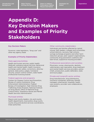[Strategies for](#page-16-0) **[Appendices](#page-28-0) [States](#page-16-0)** 

## <span id="page-31-0"></span>**Appendix D: Key Decision Makers and Examples of Priority Stakeholders**

#### Key Decision Makers

Governor, state legislators, "drug czar" and other key agency leads

#### Examples of Priority Stakeholders

#### State agencies/entities

Health and human services, public health, Medicaid, substance abuse services, behavioral health and mental health, health insurance exchange, public safety, corrections, attorney general, state police, judges, homeland security, poison control centers, state health professional licensing boards

#### Federal agencies and programs

Centers for Disease Control and Prevention, Bureau of Justice Assistance, Drug Enforcement Administration, Federal Bureau of Investigation, High Intensity Drug Trafficking Areas Program, National Institute on Drug Abuse, Office of National Drug Control Policy, Substance Abuse and Mental Health Services Administration

#### Municipal entities

Mayors and county leaders, city and county health departments, local police, drug courts, county drug and alcohol services coordinators, tribal authorities

#### Other community stakeholders

Individuals and families affected by opioid misuse, faith leaders, colleges and universities, school districts, recovery high schools, syringe exchange programs and other harm reduction groups, peer support organizations, community drug prevention coalitions and task forces, supportive housing providers

#### Professional associations and societies

Physicians, nurses, pharmacists, dentists, veterinarians, pain specialists, drug treatment and mental health services providers, police chiefs, prosecutors, public defenders, state and local judges

#### Private and nonprofit sector entities

Drug manufacturers, drug distributors, insurance companies, pharmacy benefit managers, pharmacies, hospitals, health care systems, provider care collaboratives, employers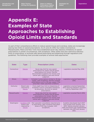[Strategies for](#page-16-0) **[Appendices](#page-28-0) [States](#page-16-0)** 

## <span id="page-32-0"></span>**Appendix E: Examples of State Approaches to Establishing Opioid Limits and Standards**

As part of their comprehensive efforts to reduce opioid misuse and overdose, states are increasingly placing new limits on opioid prescriptions. As of June 23, 2016, four states (Connecticut, Massachusetts, Maine and New York) have established seven-day statutory limitations on opioid prescriptions in certain circumstances, with exceptions. Other states have less restrictive statutory limits on prescribing, or promote safe opioid prescribing and dispensing through regulations and guidelines. The following chart provides examples of several state approaches.

| <b>State</b>    | <b>Type</b>                                            | <b>Prescription Limits</b>                                                                                                                                                                                        | <b>Dates</b>                                                                                                                                                                    |
|-----------------|--------------------------------------------------------|-------------------------------------------------------------------------------------------------------------------------------------------------------------------------------------------------------------------|---------------------------------------------------------------------------------------------------------------------------------------------------------------------------------|
| Connecticut     | <b>Statute</b>                                         | Seven-day limit for new opioid<br>prescriptions for adults and all opioid<br>prescriptions for minors. Permits<br>documented exceptions for chronic and<br>cancer pain, palliative care and clinical<br>judgment. | Legislation enacted May 2016.                                                                                                                                                   |
| <b>Illinois</b> | <b>Statute</b>                                         | Schedule II prescriptions limited to 30-day<br>supply, with exceptions. Permits multiple<br>prescriptions up to a 90-day supply if the<br>prescriber meets specified conditions.                                  | Legislation enacted September<br>2015.                                                                                                                                          |
| Kentucky        | Board rules<br>required by<br>statute                  | Forty-eight hour limit on dispensing of<br>Schedule II and III controlled substances<br>by physicians. No limit on opioid<br>prescriptions.                                                                       | Legislation enacted September<br>2012 requiring adoption of board<br>rules by September 2012.                                                                                   |
| Massachusetts   | <b>Statute</b>                                         | Seven-day limit for new opioid<br>prescriptions for adults and all opioid<br>prescriptions for minors. Permits<br>documented exceptions for chronic and<br>cancer pain, palliative care and clinical<br>judgment. | Legislation enacted March 2016.                                                                                                                                                 |
| Washington      | Guideline and<br>board rules<br>required by<br>statute | Pain specialist consultation required prior<br>to prescribing daily morphine equivalent<br>doses of 120 mg or greater, with<br>exceptions.                                                                        | Guideline developed April 2007<br>and revised most recently June<br>2015. Statute enacted January<br>2010 and board rules implemented<br>between July 2011 and January<br>2012. |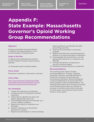[Strategies for](#page-16-0) **[Appendices](#page-28-0) [States](#page-16-0)** 

## <span id="page-33-0"></span>**Appendix F: State Example: Massachusetts Governor's Opioid Working Group Recommendations**

#### **Objective**

Produce actionable recommendations to address the opioid epidemic in the Commonwealth of Massachusetts.

#### Goals of the Plan

(1) Reduce the magnitude and severity of harm related to opioid misuse and use disorder.

(2) Decrease opioid overdose deaths.

#### Focus Areas

Prevention, treatment, intervention, recovery

#### Link to Plan

[http://www.mass.gov/eohhs/docs/dph/](http://www.mass.gov/eohhs/docs/dph/stop-addiction/recommendations-of-the-governors-opioid-working-group.pdf) [stop-addiction/recommendations-of-the](http://www.mass.gov/eohhs/docs/dph/stop-addiction/recommendations-of-the-governors-opioid-working-group.pdf)[governors-opioid-working-group.pdf](http://www.mass.gov/eohhs/docs/dph/stop-addiction/recommendations-of-the-governors-opioid-working-group.pdf)

#### Key Strategies

- 1. Create new pathways to treatment.
- 2. Increase access to medication-assisted treatment.
- 3. Utilize data to identify hot spots and deploy appropriate resources.
- 4. Acknowledge substance use disorder as a chronic medical condition.
- 5. Reduce the stigma of substance use disorders.
- 6. Support substance use prevention education in schools.
- 7. Require all practitioners to receive training

about substance use disorder and safe prescribing practices.

- 8. Improve the prescription monitoring program.
- 9. Require manufacturers and pharmacies to dispose of unused prescription medication.
- 10. Acknowledge that punishment is not the appropriate response to a substance use disorder.
- 11. Increase distribution of naloxone to prevent overdose deaths.
- 12. Eliminate insurance barriers to treatment.

#### Recommendations

The working group report includes recommendations in 13 areas, including prescriber practices, neonatal abstinence syndrome, insurance and policing and correctional institutions. Recommendations in red are addressed in an action plan that tracks progress toward implementation. The working group report also includes a summary of short-term action items (six months to one year); mid-term action items (one year to three years); and long-term action items (three or more years).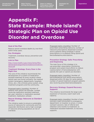[Strategies for](#page-16-0) **[Appendices](#page-28-0) [States](#page-16-0)** 

## <span id="page-34-0"></span>**Appendix F: State Example: Rhode Island's Strategic Plan on Opioid Use Disorder and Overdose**

#### Goal of the Plan

Reduce opioid overdose deaths by one-third within three years.

#### Key Strategies

Treatment, overdose rescue, prevention and recovery

#### Link to Plan

[http://www.health.ri.gov/news/temp/Rho](http://www.health.ri.gov/news/temp/RhodeIslandsStrategicPlanOnAddictionAndOverdose.pdf)[deIslandsStrategicPlanOnAddictionAndOver](http://www.health.ri.gov/news/temp/RhodeIslandsStrategicPlanOnAddictionAndOverdose.pdf)[dose.pdf](http://www.health.ri.gov/news/temp/RhodeIslandsStrategicPlanOnAddictionAndOverdose.pdf)

#### Treatment Strategy: Every Door is the Right One

The core of this initiative recommends the development of a system of medicationassisted treatment at every location where opioid users are found, primarily: the medical system (emergency departments, hospitals, clinics, etc.), the criminal justice system, drug treatment programs and the community.

Proposed metric (monthly): Number of patients with opioid use disorder, number receiving medication-assisted treatment per year, retention in medication-assisted treatment, medication utilized.

#### Rescue Strategy: Naloxone as Standard of Care

This initiative seeks to ensure a sustainable source of naloxone for community and first responder distribution and a high coverage of naloxone among populations at risk of overdose.

Proposed metric (monthly): Number of prescribers prescribing naloxone; number of naloxone prescriptions dispensed (overall) and to patients filling Schedule II opioid prescriptions or to patients filling opioid and benzodiazepine prescriptions.

#### Prevention Strategy: Safer Prescribing and Dispensing

The main focus of this strategy is to use prescriber, prescription monitoring program and system-level efforts to reduce coprescription of benzodiazepines with opioids (for pain or opioid use disorder).

Proposed metric (monthly): Number of benzodiazepines and opioid prescriptions dispensed within 30 days for same patient; number of opioid treatment program patients also receiving prescribed benzodiazepine.

#### Recovery Strategy: Expand Recovery Supports

This initiative recommends the large-scale expansion of recovery coach reach and capacity.

Proposed metric (monthly): Number of peer recovery coach encounters to emergency department, to hospital, to prison, in street outreach sessions; rate of referral and retention (one month) to treatment, to medication-assisted treatment, to recovery supports.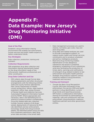[Strategies for](#page-16-0) **[Appendices](#page-28-0) [States](#page-16-0)** 

## **Appendix F: Data Example: New Jersey's Drug Monitoring Initiative (DMI)**

#### Goal of the Plan

Establish a drug information sharing environment that enables law enforcement, human services and public health experts to better understand trends.

#### Key Strategies

Data collection, production, training and outreach

#### Collection Requirements

DMI establishes drug data collection and information sharing requirements based on the drug information needs of law enforcement, healthcare professionals and other constituents.

#### Drug Data Collection and Use

- DMI collects data through formal datasharing agreements and other structured arrangements with the following entities: state and county forensic laboratories, New Jersey Department of Health, county prosecutors' offices, state medical examiner's office, New Jersey Division of Mental Health and Addiction Services, Automated Fingerprint Information System and the PDMP. Where appropriate and necessary, data is de-identified prior to sharing to preserve patient confidentiality.
- Drug and related data sets collected include: forensic analysis of all drugs seized, deployments of naloxone by EMS (de-identified) and law enforcement, toxicology results from drug involved deaths, de-identified patient drug use data from treatment admissions, daily drug arrest data and daily crime arrest data.
- Data management processes are used to cleanse, normalize, geo-code, map and store drug data.
- Drug data and related analyses are used to provide investigative support, to support public health and human services constituents and to produce scheduled and ad hoc intelligence products.
- Real-time drug monitoring enables identification of new dangerous substances and assists in potential emergency scheduling of such substances, while also facilitating the production of timely alerts, warnings and notifications of emergent drug related incidents to law enforcement and public health partners.
- Strategic drug analysis supports various initiatives related to drug prevention, treatment and recovery.

#### Training and Outreach

• Though the Basic Drug Recognition Course, DMI trains thousands of law enforcement, fire service, EMS and health partners in drug identification, current drug trends and reporting processes. DMI fosters a collaborative information sharing environment by participating in meetings, calls and symposiums with law enforcement, drug prevention coalitions, healthcare partners and other government entities.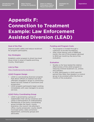[Strategies for](#page-16-0) **[Appendices](#page-28-0) [States](#page-16-0)** 

# **Appendix F: Connection to Treatment Example: Law Enforcement Assisted Diversion (LEAD)**

#### Goal of the Plan

Improve public safety and reduce recidivism for program participants.

#### Key Strategies

Establish a pilot program to divert low-level drug crimes in areas of Seattle and King County, Washington

#### Link to Plan

<http://leadkingcounty.org/about/>

#### LEAD Program Design

- LEAD is a pre-booking diversion program that allows officers to redirect low-level offenders engaged in drugs to communitybased services instead of courtrooms and prosecution.
- LEAD program participants begin working immediately with case managers to access services.

#### LEAD Policy Coordinating Group

- LEAD is governed by a group of stakeholders that rule by consensus and utilize a memorandum of understanding.
- Membership of the policy coordinating group includes the mayor, county executive, city council, city attorney's office, county prosecutor, county sheriff, municipal police, state corrections department, community groups and advocates.

#### Funding and Program Costs

- The program is funded through a collection of private foundations.
- After initial startup costs of \$899 per month, the cost of the program declined to \$522 per month by the end of the evaluation.

#### Evaluation

- Studies so far have tested the relative effectiveness of the LEAD program in reducing criminal recidivism (i.e., arrests and charges).
- In 2015, participants in LEAD were 60 percent less likely than people in a control group to be arrested within the first six months of the evaluation.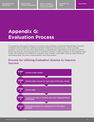[Strategies for](#page-16-0) **[Appendices](#page-28-0) [States](#page-16-0)** 

## <span id="page-37-0"></span>**Appendix G: Evaluation Process**

The following information comes from a forthcoming evaluation issue brief titled *Building Programs to Reduce Opioid Addiction: Utilizing Evaluation Science to Improve Success*, which provides guidance for governors and other state leaders on developing a comprehensive program to reduce opioid use disorder using best practices in evaluation science. It offers guidance on developing a logic model—the backbone of an effective evaluation plan. Further, it provides a step-by-step process for assimilating data into policy implementation and improvement.

### Process for Utilizing Evaluation Science to Improve Success

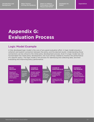[Strategies for](#page-16-0) **[Appendices](#page-28-0) [States](#page-16-0)** 

### **Appendix G: Evaluation Process**

### Logic Model Example

A fully developed logic model is the core of any good evaluation effort. A logic model ensures a coherent and explicit connection between the policy and the desired results. Understanding those connections can be critical to the initial policy development process. Even if a logic model was not incorporated into initial policy development, one must still be created to monitor the performance of a specific policy. The logic model is the process for identifying and collecting data, and then evaluating and improving policy performance.